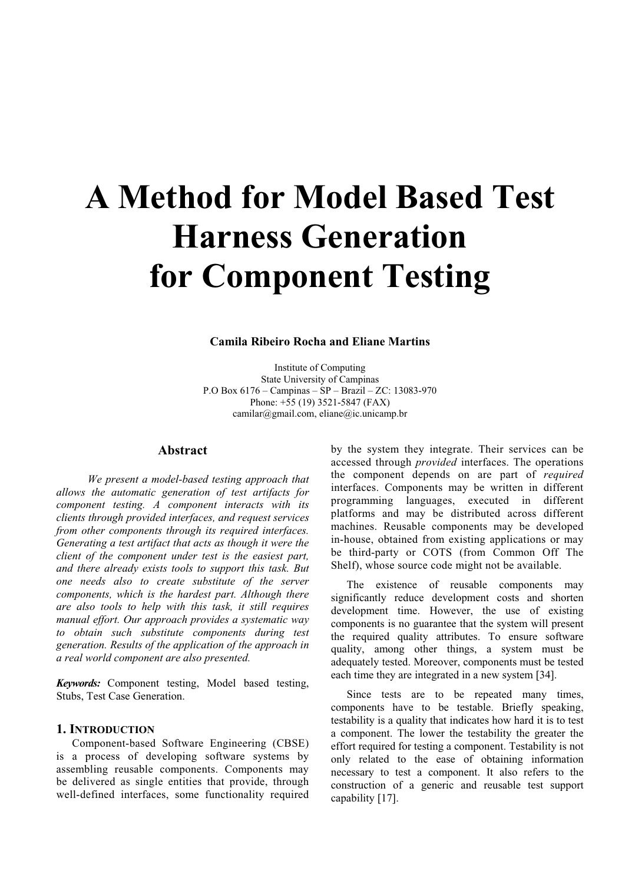# **A Method for Model Based Test Harness Generation for Component Testing**

#### **Camila Ribeiro Rocha and Eliane Martins**

Institute of Computing State University of Campinas P.O Box 6176 – Campinas – SP – Brazil – ZC: 13083-970 Phone: +55 (19) 3521-5847 (FAX) camilar@gmail.com, eliane@ic.unicamp.br

### **Abstract**

*We present a model-based testing approach that allows the automatic generation of test artifacts for component testing. A component interacts with its clients through provided interfaces, and request services from other components through its required interfaces. Generating a test artifact that acts as though it were the client of the component under test is the easiest part, and there already exists tools to support this task. But one needs also to create substitute of the server components, which is the hardest part. Although there are also tools to help with this task, it still requires manual effort. Our approach provides a systematic way to obtain such substitute components during test generation. Results of the application of the approach in a real world component are also presented.* 

*Keywords:* Component testing, Model based testing, Stubs, Test Case Generation.

#### **1. INTRODUCTION**

Component-based Software Engineering (CBSE) is a process of developing software systems by assembling reusable components. Components may be delivered as single entities that provide, through well-defined interfaces, some functionality required by the system they integrate. Their services can be accessed through *provided* interfaces. The operations the component depends on are part of *required* interfaces. Components may be written in different programming languages, executed in different platforms and may be distributed across different machines. Reusable components may be developed in-house, obtained from existing applications or may be third-party or COTS (from Common Off The Shelf), whose source code might not be available.

The existence of reusable components may significantly reduce development costs and shorten development time. However, the use of existing components is no guarantee that the system will present the required quality attributes. To ensure software quality, among other things, a system must be adequately tested. Moreover, components must be tested each time they are integrated in a new system [34].

Since tests are to be repeated many times, components have to be testable. Briefly speaking, testability is a quality that indicates how hard it is to test a component. The lower the testability the greater the effort required for testing a component. Testability is not only related to the ease of obtaining information necessary to test a component. It also refers to the construction of a generic and reusable test support capability [17].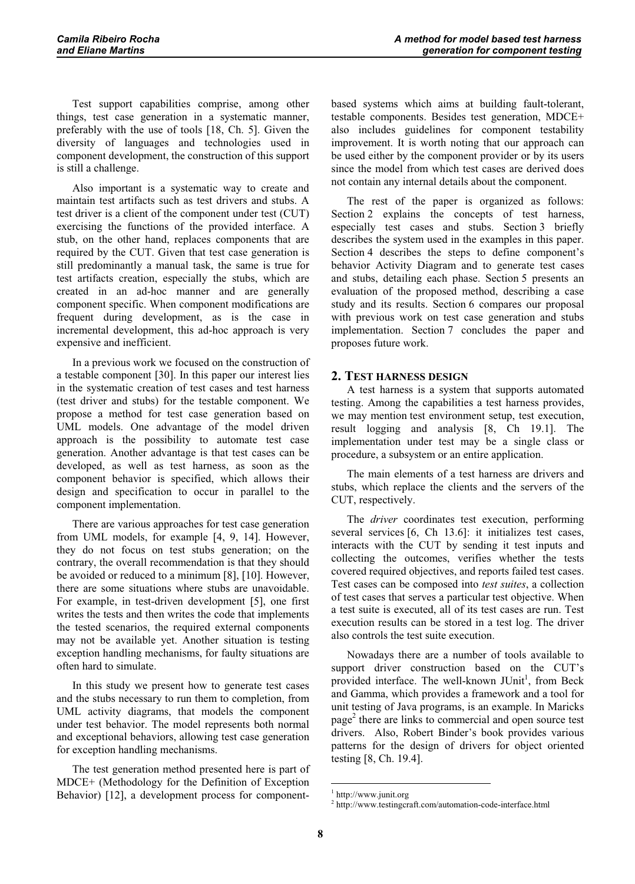Test support capabilities comprise, among other things, test case generation in a systematic manner, preferably with the use of tools [18, Ch. 5]. Given the diversity of languages and technologies used in component development, the construction of this support is still a challenge.

Also important is a systematic way to create and maintain test artifacts such as test drivers and stubs. A test driver is a client of the component under test (CUT) exercising the functions of the provided interface. A stub, on the other hand, replaces components that are required by the CUT. Given that test case generation is still predominantly a manual task, the same is true for test artifacts creation, especially the stubs, which are created in an ad-hoc manner and are generally component specific. When component modifications are frequent during development, as is the case in incremental development, this ad-hoc approach is very expensive and inefficient.

In a previous work we focused on the construction of a testable component [30]. In this paper our interest lies in the systematic creation of test cases and test harness (test driver and stubs) for the testable component. We propose a method for test case generation based on UML models. One advantage of the model driven approach is the possibility to automate test case generation. Another advantage is that test cases can be developed, as well as test harness, as soon as the component behavior is specified, which allows their design and specification to occur in parallel to the component implementation.

There are various approaches for test case generation from UML models, for example [4, 9, 14]. However, they do not focus on test stubs generation; on the contrary, the overall recommendation is that they should be avoided or reduced to a minimum [8], [10]. However, there are some situations where stubs are unavoidable. For example, in test-driven development [5], one first writes the tests and then writes the code that implements the tested scenarios, the required external components may not be available yet. Another situation is testing exception handling mechanisms, for faulty situations are often hard to simulate.

In this study we present how to generate test cases and the stubs necessary to run them to completion, from UML activity diagrams, that models the component under test behavior. The model represents both normal and exceptional behaviors, allowing test case generation for exception handling mechanisms.

The test generation method presented here is part of MDCE+ (Methodology for the Definition of Exception Behavior) [12], a development process for componentbased systems which aims at building fault-tolerant, testable components. Besides test generation, MDCE+ also includes guidelines for component testability improvement. It is worth noting that our approach can be used either by the component provider or by its users since the model from which test cases are derived does not contain any internal details about the component.

The rest of the paper is organized as follows: Section 2 explains the concepts of test harness, especially test cases and stubs. Section 3 briefly describes the system used in the examples in this paper. Section 4 describes the steps to define component's behavior Activity Diagram and to generate test cases and stubs, detailing each phase. Section 5 presents an evaluation of the proposed method, describing a case study and its results. Section 6 compares our proposal with previous work on test case generation and stubs implementation. Section 7 concludes the paper and proposes future work.

## **2. TEST HARNESS DESIGN**

A test harness is a system that supports automated testing. Among the capabilities a test harness provides, we may mention test environment setup, test execution, result logging and analysis [8, Ch 19.1]. The implementation under test may be a single class or procedure, a subsystem or an entire application.

The main elements of a test harness are drivers and stubs, which replace the clients and the servers of the CUT, respectively.

The *driver* coordinates test execution, performing several services [6, Ch 13.6]: it initializes test cases, interacts with the CUT by sending it test inputs and collecting the outcomes, verifies whether the tests covered required objectives, and reports failed test cases. Test cases can be composed into *test suites*, a collection of test cases that serves a particular test objective. When a test suite is executed, all of its test cases are run. Test execution results can be stored in a test log. The driver also controls the test suite execution.

Nowadays there are a number of tools available to support driver construction based on the CUT's provided interface. The well-known JUnit<sup>1</sup>, from Beck and Gamma, which provides a framework and a tool for unit testing of Java programs, is an example. In Maricks page<sup>2</sup> there are links to commercial and open source test drivers. Also, Robert Binder's book provides various patterns for the design of drivers for object oriented testing [8, Ch. 19.4].

<sup>1</sup> http://www.junit.org

<sup>2</sup> http://www.testingcraft.com/automation-code-interface.html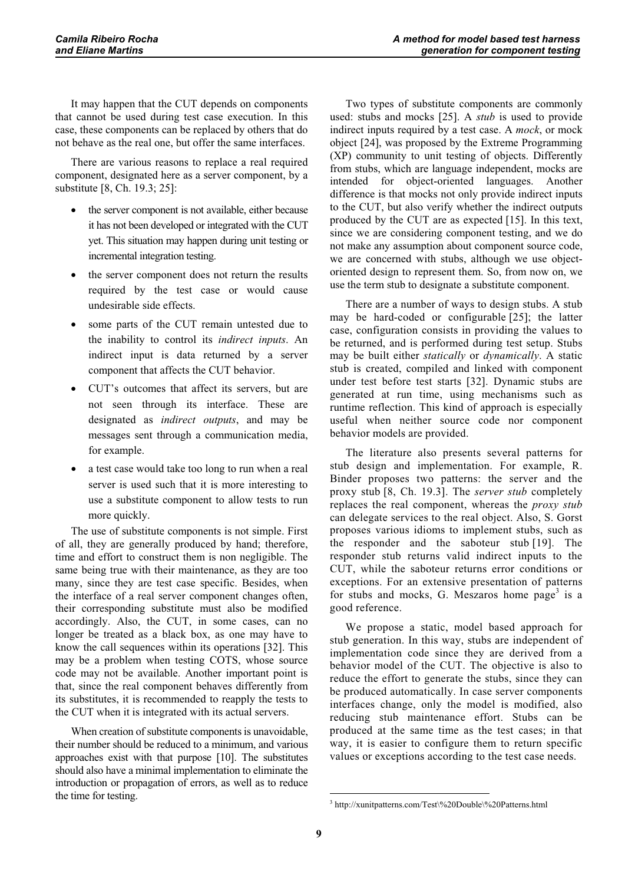It may happen that the CUT depends on components that cannot be used during test case execution. In this case, these components can be replaced by others that do not behave as the real one, but offer the same interfaces.

There are various reasons to replace a real required component, designated here as a server component, by a substitute [8, Ch. 19.3; 25]:

- the server component is not available, either because it has not been developed or integrated with the CUT yet. This situation may happen during unit testing or incremental integration testing.
- the server component does not return the results required by the test case or would cause undesirable side effects.
- some parts of the CUT remain untested due to the inability to control its *indirect inputs*. An indirect input is data returned by a server component that affects the CUT behavior.
- - CUT's outcomes that affect its servers, but are not seen through its interface. These are designated as *indirect outputs*, and may be messages sent through a communication media, for example.
- a test case would take too long to run when a real server is used such that it is more interesting to use a substitute component to allow tests to run more quickly.

The use of substitute components is not simple. First of all, they are generally produced by hand; therefore, time and effort to construct them is non negligible. The same being true with their maintenance, as they are too many, since they are test case specific. Besides, when the interface of a real server component changes often, their corresponding substitute must also be modified accordingly. Also, the CUT, in some cases, can no longer be treated as a black box, as one may have to know the call sequences within its operations [32]. This may be a problem when testing COTS, whose source code may not be available. Another important point is that, since the real component behaves differently from its substitutes, it is recommended to reapply the tests to the CUT when it is integrated with its actual servers.

When creation of substitute components is unavoidable, their number should be reduced to a minimum, and various approaches exist with that purpose [10]. The substitutes should also have a minimal implementation to eliminate the introduction or propagation of errors, as well as to reduce the time for testing.

Two types of substitute components are commonly used: stubs and mocks [25]. A *stub* is used to provide indirect inputs required by a test case. A *mock*, or mock object [24], was proposed by the Extreme Programming (XP) community to unit testing of objects. Differently from stubs, which are language independent, mocks are intended for object-oriented languages. Another difference is that mocks not only provide indirect inputs to the CUT, but also verify whether the indirect outputs produced by the CUT are as expected [15]. In this text, since we are considering component testing, and we do not make any assumption about component source code, we are concerned with stubs, although we use objectoriented design to represent them. So, from now on, we use the term stub to designate a substitute component.

There are a number of ways to design stubs. A stub may be hard-coded or configurable [25]; the latter case, configuration consists in providing the values to be returned, and is performed during test setup. Stubs may be built either *statically* or *dynamically*. A static stub is created, compiled and linked with component under test before test starts [32]. Dynamic stubs are generated at run time, using mechanisms such as runtime reflection. This kind of approach is especially useful when neither source code nor component behavior models are provided.

The literature also presents several patterns for stub design and implementation. For example, R. Binder proposes two patterns: the server and the proxy stub [8, Ch. 19.3]. The *server stub* completely replaces the real component, whereas the *proxy stub* can delegate services to the real object. Also, S. Gorst proposes various idioms to implement stubs, such as the responder and the saboteur stub [19]. The responder stub returns valid indirect inputs to the CUT, while the saboteur returns error conditions or exceptions. For an extensive presentation of patterns for stubs and mocks, G. Meszaros home page<sup>3</sup> is a good reference.

We propose a static, model based approach for stub generation. In this way, stubs are independent of implementation code since they are derived from a behavior model of the CUT. The objective is also to reduce the effort to generate the stubs, since they can be produced automatically. In case server components interfaces change, only the model is modified, also reducing stub maintenance effort. Stubs can be produced at the same time as the test cases; in that way, it is easier to configure them to return specific values or exceptions according to the test case needs.

<sup>3</sup> http://xunitpatterns.com/Test\%20Double\%20Patterns.html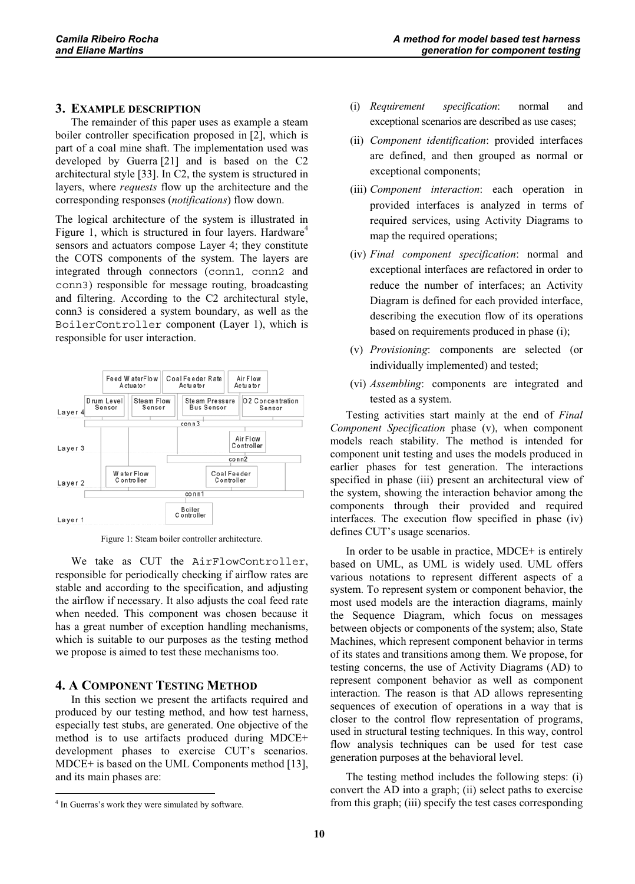## **3. EXAMPLE DESCRIPTION**

The remainder of this paper uses as example a steam boiler controller specification proposed in [2], which is part of a coal mine shaft. The implementation used was developed by Guerra [21] and is based on the C2 architectural style [33]. In C2, the system is structured in layers, where *requests* flow up the architecture and the corresponding responses (*notifications*) flow down.

The logical architecture of the system is illustrated in Figure 1, which is structured in four layers. Hardware<sup>4</sup> sensors and actuators compose Layer 4; they constitute the COTS components of the system. The layers are integrated through connectors (conn1*,* conn2 and conn3) responsible for message routing, broadcasting and filtering. According to the C2 architectural style, conn3 is considered a system boundary, as well as the BoilerController component (Layer 1), which is responsible for user interaction.



Figure 1: Steam boiler controller architecture.

We take as CUT the AirFlowController, responsible for periodically checking if airflow rates are stable and according to the specification, and adjusting the airflow if necessary. It also adjusts the coal feed rate when needed. This component was chosen because it has a great number of exception handling mechanisms, which is suitable to our purposes as the testing method we propose is aimed to test these mechanisms too.

## **4. A COMPONENT TESTING METHOD**

In this section we present the artifacts required and produced by our testing method, and how test harness, especially test stubs, are generated. One objective of the method is to use artifacts produced during MDCE+ development phases to exercise CUT's scenarios. MDCE+ is based on the UML Components method [13], and its main phases are:

- (i) *Requirement specification*: normal and exceptional scenarios are described as use cases;
- (ii) *Component identification*: provided interfaces are defined, and then grouped as normal or exceptional components;
- (iii) *Component interaction*: each operation in provided interfaces is analyzed in terms of required services, using Activity Diagrams to map the required operations;
- (iv) *Final component specification*: normal and exceptional interfaces are refactored in order to reduce the number of interfaces; an Activity Diagram is defined for each provided interface, describing the execution flow of its operations based on requirements produced in phase (i);
- (v) *Provisioning*: components are selected (or individually implemented) and tested;
- (vi) *Assembling*: components are integrated and tested as a system.

Testing activities start mainly at the end of *Final Component Specification* phase (v), when component models reach stability. The method is intended for component unit testing and uses the models produced in earlier phases for test generation. The interactions specified in phase (iii) present an architectural view of the system, showing the interaction behavior among the components through their provided and required interfaces. The execution flow specified in phase (iv) defines CUT's usage scenarios.

In order to be usable in practice, MDCE+ is entirely based on UML, as UML is widely used. UML offers various notations to represent different aspects of a system. To represent system or component behavior, the most used models are the interaction diagrams, mainly the Sequence Diagram, which focus on messages between objects or components of the system; also, State Machines, which represent component behavior in terms of its states and transitions among them. We propose, for testing concerns, the use of Activity Diagrams (AD) to represent component behavior as well as component interaction. The reason is that AD allows representing sequences of execution of operations in a way that is closer to the control flow representation of programs, used in structural testing techniques. In this way, control flow analysis techniques can be used for test case generation purposes at the behavioral level.

The testing method includes the following steps: (i) convert the AD into a graph; (ii) select paths to exercise from this graph; (iii) specify the test cases corresponding

<sup>4</sup> In Guerras's work they were simulated by software.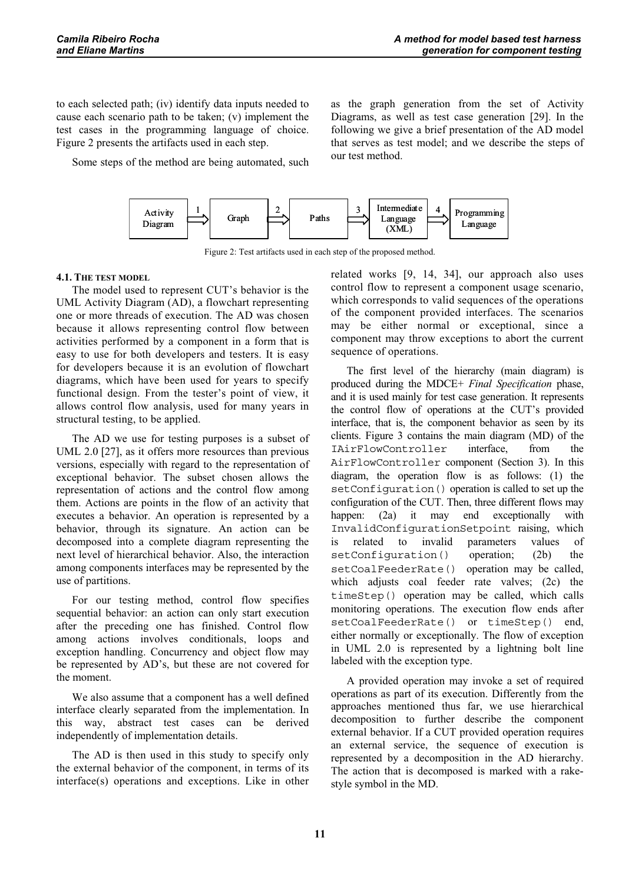to each selected path; (iv) identify data inputs needed to cause each scenario path to be taken; (v) implement the test cases in the programming language of choice. Figure 2 presents the artifacts used in each step.

Some steps of the method are being automated, such

as the graph generation from the set of Activity Diagrams, as well as test case generation [29]. In the following we give a brief presentation of the AD model that serves as test model; and we describe the steps of our test method.



Figure 2: Test artifacts used in each step of the proposed method.

#### **4.1. THE TEST MODEL**

The model used to represent CUT's behavior is the UML Activity Diagram (AD), a flowchart representing one or more threads of execution. The AD was chosen because it allows representing control flow between activities performed by a component in a form that is easy to use for both developers and testers. It is easy for developers because it is an evolution of flowchart diagrams, which have been used for years to specify functional design. From the tester's point of view, it allows control flow analysis, used for many years in structural testing, to be applied.

The AD we use for testing purposes is a subset of UML 2.0 [27], as it offers more resources than previous versions, especially with regard to the representation of exceptional behavior. The subset chosen allows the representation of actions and the control flow among them. Actions are points in the flow of an activity that executes a behavior. An operation is represented by a behavior, through its signature. An action can be decomposed into a complete diagram representing the next level of hierarchical behavior. Also, the interaction among components interfaces may be represented by the use of partitions.

For our testing method, control flow specifies sequential behavior: an action can only start execution after the preceding one has finished. Control flow among actions involves conditionals, loops and exception handling. Concurrency and object flow may be represented by AD's, but these are not covered for the moment.

We also assume that a component has a well defined interface clearly separated from the implementation. In this way, abstract test cases can be derived independently of implementation details.

The AD is then used in this study to specify only the external behavior of the component, in terms of its interface(s) operations and exceptions. Like in other related works [9, 14, 34], our approach also uses control flow to represent a component usage scenario, which corresponds to valid sequences of the operations of the component provided interfaces. The scenarios may be either normal or exceptional, since a component may throw exceptions to abort the current sequence of operations.

The first level of the hierarchy (main diagram) is produced during the MDCE+ *Final Specification* phase, and it is used mainly for test case generation. It represents the control flow of operations at the CUT's provided interface, that is, the component behavior as seen by its clients. Figure 3 contains the main diagram (MD) of the IAirFlowController interface, from the AirFlowController component (Section 3). In this diagram, the operation flow is as follows: (1) the setConfiguration() operation is called to set up the configuration of the CUT. Then, three different flows may happen: (2a) it may end exceptionally with InvalidConfigurationSetpoint raising, which is related to invalid parameters values of setConfiguration() operation; (2b) the setCoalFeederRate() operation may be called, which adjusts coal feeder rate valves; (2c) the timeStep() operation may be called, which calls monitoring operations. The execution flow ends after setCoalFeederRate() or timeStep() end, either normally or exceptionally. The flow of exception in UML 2.0 is represented by a lightning bolt line labeled with the exception type.

A provided operation may invoke a set of required operations as part of its execution. Differently from the approaches mentioned thus far, we use hierarchical decomposition to further describe the component external behavior. If a CUT provided operation requires an external service, the sequence of execution is represented by a decomposition in the AD hierarchy. The action that is decomposed is marked with a rakestyle symbol in the MD.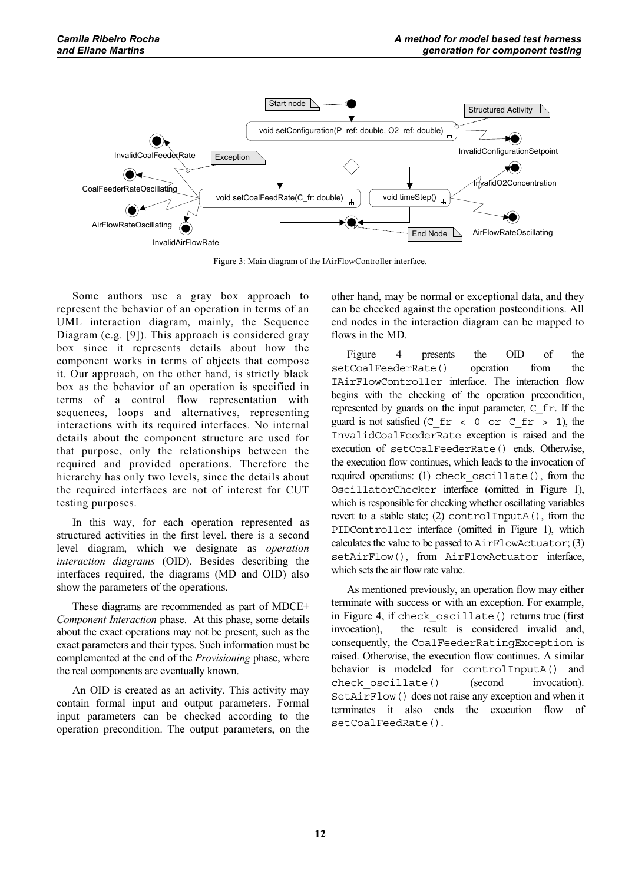

Figure 3: Main diagram of the IAirFlowController interface.

Some authors use a gray box approach to represent the behavior of an operation in terms of an UML interaction diagram, mainly, the Sequence Diagram (e.g. [9]). This approach is considered gray box since it represents details about how the component works in terms of objects that compose it. Our approach, on the other hand, is strictly black box as the behavior of an operation is specified in terms of a control flow representation with sequences, loops and alternatives, representing interactions with its required interfaces. No internal details about the component structure are used for that purpose, only the relationships between the required and provided operations. Therefore the hierarchy has only two levels, since the details about the required interfaces are not of interest for CUT testing purposes.

In this way, for each operation represented as structured activities in the first level, there is a second level diagram, which we designate as *operation interaction diagrams* (OID). Besides describing the interfaces required, the diagrams (MD and OID) also show the parameters of the operations.

These diagrams are recommended as part of MDCE+ *Component Interaction* phase. At this phase, some details about the exact operations may not be present, such as the exact parameters and their types. Such information must be complemented at the end of the *Provisioning* phase, where the real components are eventually known.

An OID is created as an activity. This activity may contain formal input and output parameters. Formal input parameters can be checked according to the operation precondition. The output parameters, on the other hand, may be normal or exceptional data, and they can be checked against the operation postconditions. All end nodes in the interaction diagram can be mapped to flows in the MD.

Figure 4 presents the OID of the setCoalFeederRate() operation from the IAirFlowController interface. The interaction flow begins with the checking of the operation precondition, represented by guards on the input parameter, C\_fr. If the guard is not satisfied  $(C_f r < 0 \text{ or } C_f r > 1)$ , the InvalidCoalFeederRate exception is raised and the execution of setCoalFeederRate() ends. Otherwise, the execution flow continues, which leads to the invocation of required operations: (1) check\_oscillate(), from the OscillatorChecker interface (omitted in Figure 1), which is responsible for checking whether oscillating variables revert to a stable state; (2) controlInputA $($ ), from the PIDController interface (omitted in Figure 1), which calculates the value to be passed to AirFlowActuator; (3) setAirFlow(), from AirFlowActuator interface, which sets the air flow rate value.

As mentioned previously, an operation flow may either terminate with success or with an exception. For example, in Figure 4, if check\_oscillate() returns true (first invocation), the result is considered invalid and, consequently, the CoalFeederRatingException is raised. Otherwise, the execution flow continues. A similar behavior is modeled for controlInputA() and check oscillate() (second invocation). SetAirFlow() does not raise any exception and when it terminates it also ends the execution flow of setCoalFeedRate().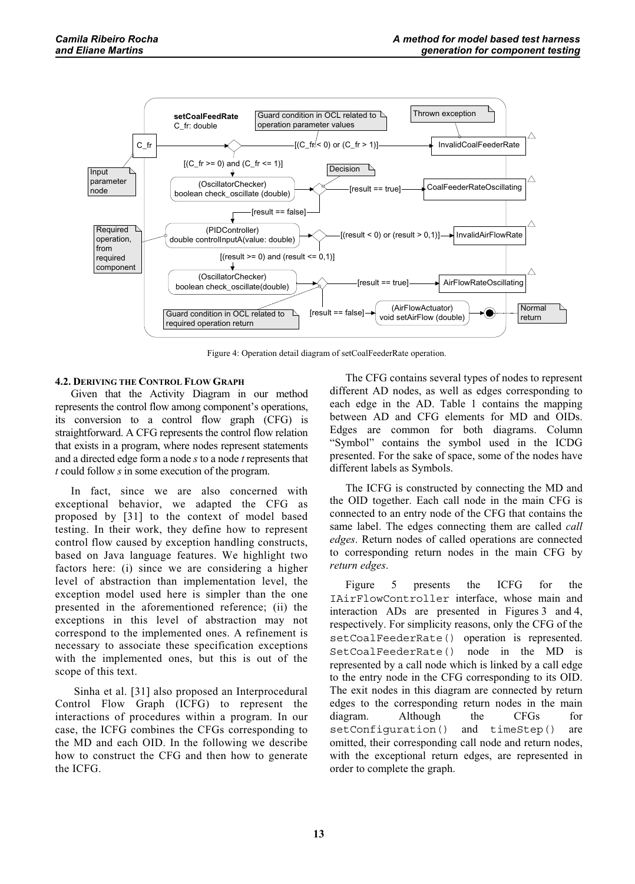

Figure 4: Operation detail diagram of setCoalFeederRate operation.

#### **4.2. DERIVING THE CONTROL FLOW GRAPH**

Given that the Activity Diagram in our method represents the control flow among component's operations, its conversion to a control flow graph (CFG) is straightforward. A CFG represents the control flow relation that exists in a program, where nodes represent statements and a directed edge form a node *s* to a node *t* represents that *t* could follow *s* in some execution of the program.

In fact, since we are also concerned with exceptional behavior, we adapted the CFG as proposed by [31] to the context of model based testing. In their work, they define how to represent control flow caused by exception handling constructs, based on Java language features. We highlight two factors here: (i) since we are considering a higher level of abstraction than implementation level, the exception model used here is simpler than the one presented in the aforementioned reference; (ii) the exceptions in this level of abstraction may not correspond to the implemented ones. A refinement is necessary to associate these specification exceptions with the implemented ones, but this is out of the scope of this text.

 Sinha et al. [31] also proposed an Interprocedural Control Flow Graph (ICFG) to represent the interactions of procedures within a program. In our case, the ICFG combines the CFGs corresponding to the MD and each OID. In the following we describe how to construct the CFG and then how to generate the ICFG.

The CFG contains several types of nodes to represent different AD nodes, as well as edges corresponding to each edge in the AD. Table 1 contains the mapping between AD and CFG elements for MD and OIDs. Edges are common for both diagrams. Column "Symbol" contains the symbol used in the ICDG presented. For the sake of space, some of the nodes have different labels as Symbols.

The ICFG is constructed by connecting the MD and the OID together. Each call node in the main CFG is connected to an entry node of the CFG that contains the same label. The edges connecting them are called *call edges*. Return nodes of called operations are connected to corresponding return nodes in the main CFG by *return edges*.

Figure 5 presents the ICFG for the IAirFlowController interface, whose main and interaction ADs are presented in Figures 3 and 4, respectively. For simplicity reasons, only the CFG of the setCoalFeederRate() operation is represented. SetCoalFeederRate() node in the MD is represented by a call node which is linked by a call edge to the entry node in the CFG corresponding to its OID. The exit nodes in this diagram are connected by return edges to the corresponding return nodes in the main diagram. Although the CFGs for setConfiguration() and timeStep() are omitted, their corresponding call node and return nodes, with the exceptional return edges, are represented in order to complete the graph.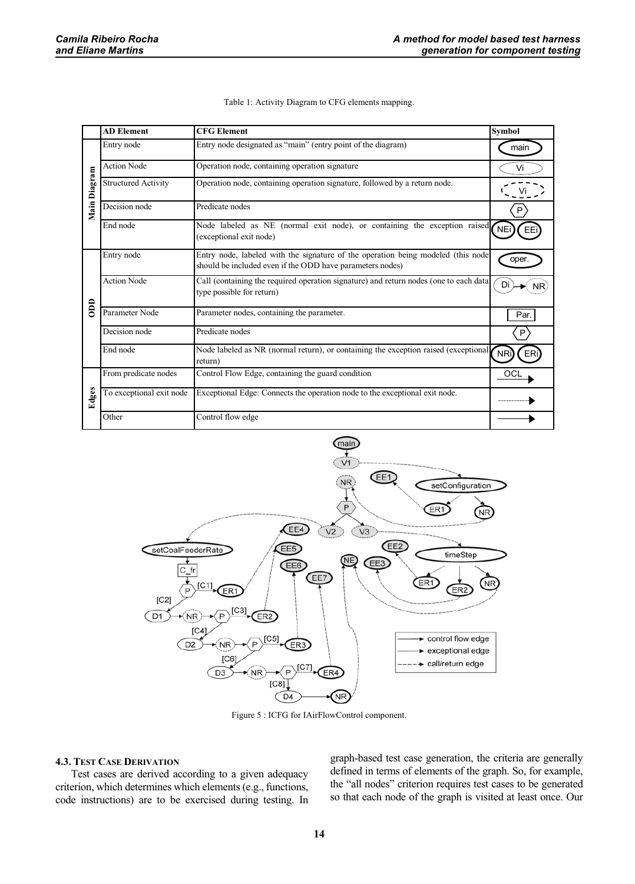| Table 1: Activity Diagram to CFG elements mapping. |  |  |
|----------------------------------------------------|--|--|
|----------------------------------------------------|--|--|

|             | <b>AD Element</b>          | <b>CFG Element</b>                                                                                                                            | <b>Symbol</b>    |
|-------------|----------------------------|-----------------------------------------------------------------------------------------------------------------------------------------------|------------------|
|             | Entry node                 | Entry node designated as "main" (entry point of the diagram)                                                                                  | main             |
|             | <b>Action Node</b>         | Operation node, containing operation signature                                                                                                | Vi               |
| Diagram     | <b>Structured Activity</b> | Operation node, containing operation signature, followed by a return node.                                                                    |                  |
| $M$ ain     | Decision node              | Predicate nodes                                                                                                                               |                  |
|             | End node                   | Node labeled as NE (normal exit node), or containing the exception raised<br>(exceptional exit node)                                          | <b>NEi</b><br>EE |
| $rac{1}{2}$ | Entry node                 | Entry node, labeled with the signature of the operation being modeled (this node<br>should be included even if the ODD have parameters nodes) | oper.            |
|             | <b>Action Node</b>         | Call (containing the required operation signature) and return nodes (one to each data<br>type possible for return)                            | Di<br><b>NR</b>  |
|             | Parameter Node             | Parameter nodes, containing the parameter.                                                                                                    | Par.             |
|             | Decision node              | Predicate nodes                                                                                                                               | P                |
|             | End node                   | Node labeled as NR (normal return), or containing the exception raised (exceptional<br>return)                                                | <b>NR</b><br>ΕF  |
|             | From predicate nodes       | Control Flow Edge, containing the guard condition                                                                                             | OCI              |
| Edges       | To exceptional exit node   | Exceptional Edge: Connects the operation node to the exceptional exit node.                                                                   |                  |
|             | Other                      | Control flow edge                                                                                                                             |                  |



Figure 5 : ICFG for IAirFlowControl component.

#### **4.3. TEST CASE DERIVATION**

Test cases are derived according to a given adequacy criterion, which determines which elements (e.g., functions, code instructions) are to be exercised during testing. In graph-based test case generation, the criteria are generally defined in terms of elements of the graph. So, for example, the "all nodes" criterion requires test cases to be generated so that each node of the graph is visited at least once. Our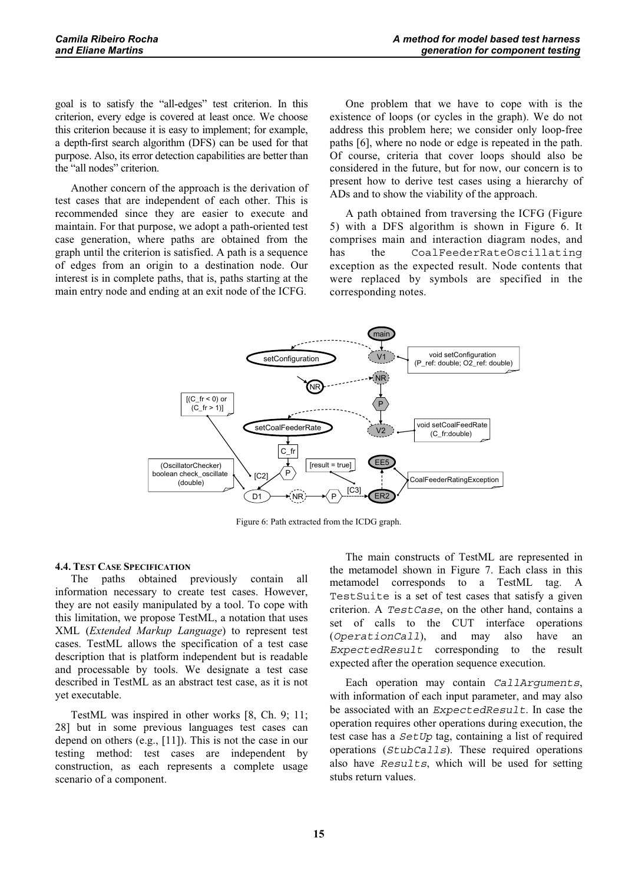goal is to satisfy the "all-edges" test criterion. In this criterion, every edge is covered at least once. We choose this criterion because it is easy to implement; for example, a depth-first search algorithm (DFS) can be used for that purpose. Also, its error detection capabilities are better than the "all nodes" criterion.

Another concern of the approach is the derivation of test cases that are independent of each other. This is recommended since they are easier to execute and maintain. For that purpose, we adopt a path-oriented test case generation, where paths are obtained from the graph until the criterion is satisfied. A path is a sequence of edges from an origin to a destination node. Our interest is in complete paths, that is, paths starting at the main entry node and ending at an exit node of the ICFG.

One problem that we have to cope with is the existence of loops (or cycles in the graph). We do not address this problem here; we consider only loop-free paths [6], where no node or edge is repeated in the path. Of course, criteria that cover loops should also be considered in the future, but for now, our concern is to present how to derive test cases using a hierarchy of ADs and to show the viability of the approach.

A path obtained from traversing the ICFG (Figure 5) with a DFS algorithm is shown in Figure 6. It comprises main and interaction diagram nodes, and has the CoalFeederRateOscillating exception as the expected result. Node contents that were replaced by symbols are specified in the corresponding notes.



Figure 6: Path extracted from the ICDG graph.

#### **4.4. TEST CASE SPECIFICATION**

The paths obtained previously contain all information necessary to create test cases. However, they are not easily manipulated by a tool. To cope with this limitation, we propose TestML, a notation that uses XML (*Extended Markup Language*) to represent test cases. TestML allows the specification of a test case description that is platform independent but is readable and processable by tools. We designate a test case described in TestML as an abstract test case, as it is not yet executable.

TestML was inspired in other works [8, Ch. 9; 11; 28] but in some previous languages test cases can depend on others (e.g., [11]). This is not the case in our testing method: test cases are independent by construction, as each represents a complete usage scenario of a component.

The main constructs of TestML are represented in the metamodel shown in Figure 7. Each class in this metamodel corresponds to a TestML tag. A TestSuite is a set of test cases that satisfy a given criterion. A *TestCase*, on the other hand, contains a set of calls to the CUT interface operations (*OperationCall*), and may also have an *ExpectedResult* corresponding to the result expected after the operation sequence execution.

Each operation may contain *CallArguments*, with information of each input parameter, and may also be associated with an *ExpectedResult*. In case the operation requires other operations during execution, the test case has a *SetUp* tag, containing a list of required operations (*StubCalls*). These required operations also have *Results*, which will be used for setting stubs return values.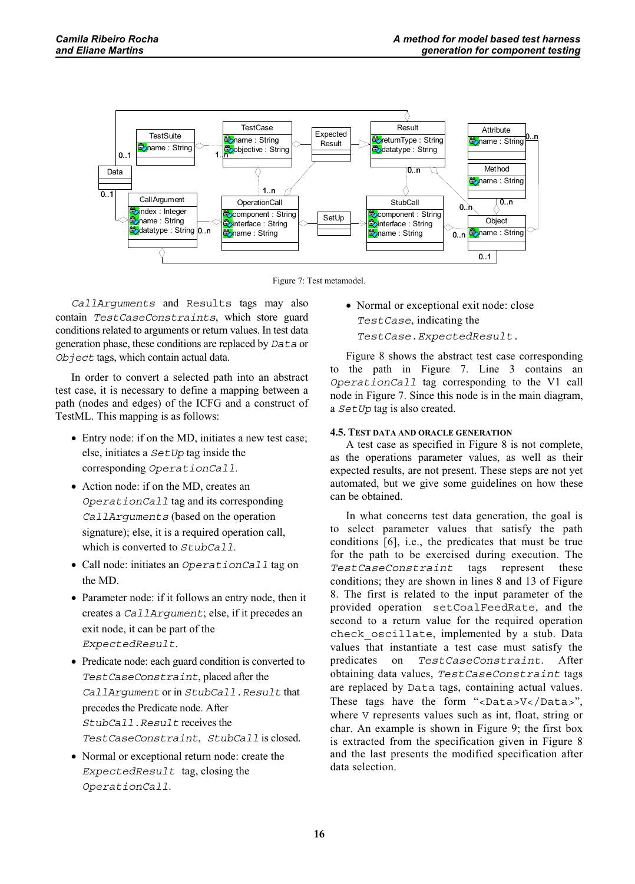

Figure 7: Test metamodel.

*CallArguments* and Results tags may also contain *TestCaseConstraints*, which store guard conditions related to arguments or return values. In test data generation phase, these conditions are replaced by *Data* or *Object* tags, which contain actual data.

In order to convert a selected path into an abstract test case, it is necessary to define a mapping between a path (nodes and edges) of the ICFG and a construct of TestML. This mapping is as follows:

- Entry node: if on the MD, initiates a new test case; else, initiates a *SetUp* tag inside the corresponding *OperationCall*.
- Action node: if on the MD, creates an *OperationCall* tag and its corresponding *CallArguments* (based on the operation signature); else, it is a required operation call, which is converted to *StubCall*.
- Call node: initiates an *OperationCall* tag on the MD.
- Parameter node: if it follows an entry node, then it creates a *CallArgument*; else, if it precedes an exit node, it can be part of the *ExpectedResult*.
- Predicate node: each guard condition is converted to *TestCaseConstraint*, placed after the *CallArgument* or in *StubCall.Result* that precedes the Predicate node. After *StubCall.Result* receives the *TestCaseConstraint*, *StubCall* is closed.
- Normal or exceptional return node: create the *ExpectedResult* tag, closing the *OperationCall*.

- Normal or exceptional exit node: close *TestCase*, indicating the *TestCase.ExpectedResult*.

Figure 8 shows the abstract test case corresponding to the path in Figure 7. Line 3 contains an *OperationCall* tag corresponding to the V1 call node in Figure 7. Since this node is in the main diagram, a *SetUp* tag is also created.

## **4.5. TEST DATA AND ORACLE GENERATION**

A test case as specified in Figure 8 is not complete, as the operations parameter values, as well as their expected results, are not present. These steps are not yet automated, but we give some guidelines on how these can be obtained.

In what concerns test data generation, the goal is to select parameter values that satisfy the path conditions [6], i.e., the predicates that must be true for the path to be exercised during execution. The *TestCaseConstraint* tags represent these conditions; they are shown in lines 8 and 13 of Figure 8. The first is related to the input parameter of the provided operation setCoalFeedRate, and the second to a return value for the required operation check\_oscillate, implemented by a stub. Data values that instantiate a test case must satisfy the predicates on *TestCaseConstraint*. After obtaining data values, *TestCaseConstraint* tags are replaced by Data tags, containing actual values. These tags have the form "<Data>V</Data>", where V represents values such as int, float, string or char. An example is shown in Figure 9; the first box is extracted from the specification given in Figure 8 and the last presents the modified specification after data selection.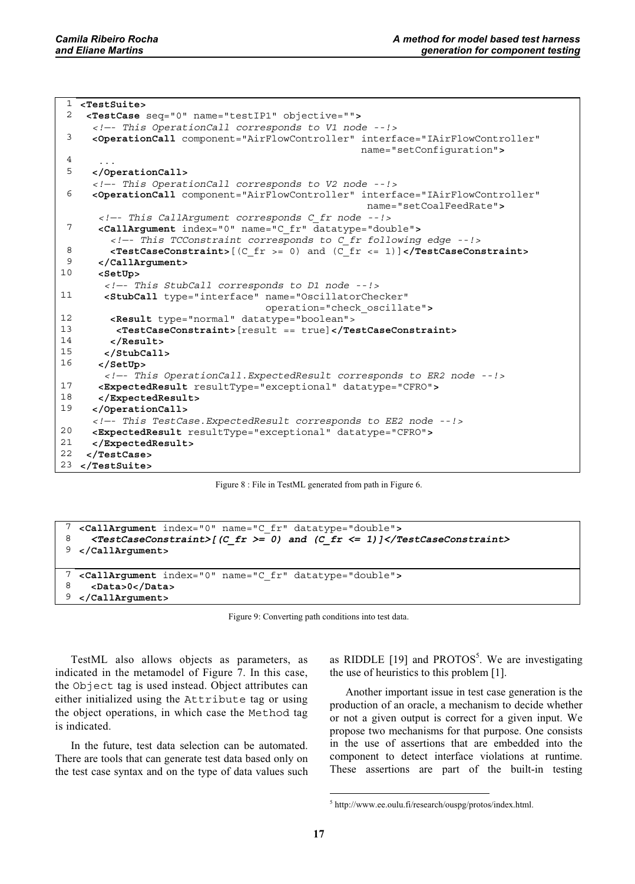|    | $1$ <testsuite></testsuite>                                                                                              |
|----|--------------------------------------------------------------------------------------------------------------------------|
| 2  | <testcase name="testIP1" objective="" seq="0"></testcase>                                                                |
|    | <!-- This OperationCall corresponds to V1 node --!>                                                                      |
| 3  | <operationcall <="" component="AirFlowController" interface="IAirFlowController" td=""></operationcall>                  |
|    | name="setConfiguration">                                                                                                 |
| 4  |                                                                                                                          |
| 5  |                                                                                                                          |
|    | <!-- This OperationCall corresponds to V2 node --!>                                                                      |
| 6  | <operationcall <="" component="AirFlowController" interface="IAirFlowController" td=""></operationcall>                  |
|    | name="setCoalFeedRate">                                                                                                  |
|    | <!-- This CallArgument corresponds C fr node --!>                                                                        |
| 7  | <callargument datatype="double" index="0" name="C fr"></callargument>                                                    |
|    | <!-- This TCConstraint corresponds to C fr following edge --!>                                                           |
| 8  | <testcaseconstraint><math>[(C \text{ fr} &gt; = 0)</math> and <math>(C \text{ fr} &lt; = 1)]</math></testcaseconstraint> |
| 9  |                                                                                                                          |
| 10 | <setup></setup>                                                                                                          |
|    | <!-- This StubCall corresponds to D1 node --!>                                                                           |
| 11 | <stubcall <="" name="OscillatorChecker" td="" type="interface"></stubcall>                                               |
|    | operation="check oscillate">                                                                                             |
| 12 | <result datatype="boolean" type="normal"></result>                                                                       |
| 13 | <testcaseconstraint>[result == true]</testcaseconstraint>                                                                |
| 14 | $\langle$ Result>                                                                                                        |
| 15 | $\langle$ /StubCall>                                                                                                     |
| 16 | $<$ /SetUp>                                                                                                              |
|    | <!-- This OperationCall.ExpectedResult corresponds to ER2 node --!>                                                      |
| 17 | <expectedresult datatype="CFRO" resulttype="exceptional"></expectedresult>                                               |
| 18 |                                                                                                                          |
| 19 |                                                                                                                          |
|    | <!-- This TestCase. Expected Result corresponds to EE2 node --!>                                                         |
| 20 | <expectedresult datatype="CFRO" resulttype="exceptional"></expectedresult>                                               |
| 21 |                                                                                                                          |
| 22 |                                                                                                                          |
|    | $23$                                                                                                                     |

Figure 8 : File in TestML generated from path in Figure 6.

```
7
8
9
</CallArgument>
  <CallArgument index="0" name="C_fr" datatype="double">
    <TestCaseConstraint>[(C_fr >= 0) and (C_fr <= 1)]</TestCaseConstraint> 
7
8
9
  <CallArgument index="0" name="C_fr" datatype="double">
    <Data>0</Data>
  </CallArgument>
```
Figure 9: Converting path conditions into test data.

TestML also allows objects as parameters, as indicated in the metamodel of Figure 7. In this case, the Object tag is used instead. Object attributes can either initialized using the Attribute tag or using the object operations, in which case the Method tag is indicated.

In the future, test data selection can be automated. There are tools that can generate test data based only on the test case syntax and on the type of data values such

as RIDDLE  $[19]$  and PROTOS<sup>5</sup>. We are investigating the use of heuristics to this problem [1].

Another important issue in test case generation is the production of an oracle, a mechanism to decide whether or not a given output is correct for a given input. We propose two mechanisms for that purpose. One consists in the use of assertions that are embedded into the component to detect interface violations at runtime. These assertions are part of the built-in testing

<sup>5</sup> http://www.ee.oulu.fi/research/ouspg/protos/index.html.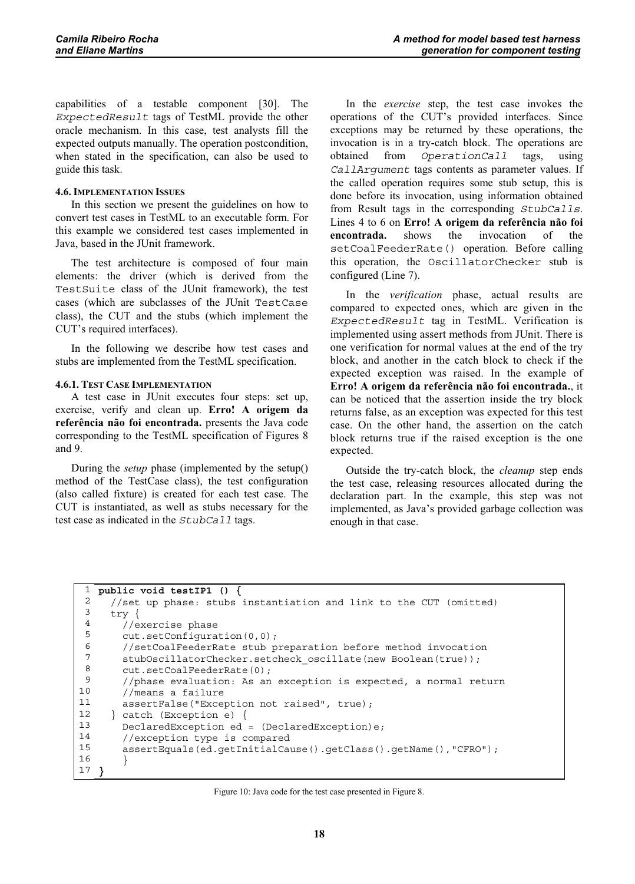capabilities of a testable component [30]. The *ExpectedResult* tags of TestML provide the other oracle mechanism. In this case, test analysts fill the expected outputs manually. The operation postcondition, when stated in the specification, can also be used to guide this task.

#### **4.6. IMPLEMENTATION ISSUES**

In this section we present the guidelines on how to convert test cases in TestML to an executable form. For this example we considered test cases implemented in Java, based in the JUnit framework.

The test architecture is composed of four main elements: the driver (which is derived from the TestSuite class of the JUnit framework), the test cases (which are subclasses of the JUnit TestCase class), the CUT and the stubs (which implement the CUT's required interfaces).

In the following we describe how test cases and stubs are implemented from the TestML specification.

#### **4.6.1. TEST CASE IMPLEMENTATION**

A test case in JUnit executes four steps: set up, exercise, verify and clean up. **Erro! A origem da referência não foi encontrada.** presents the Java code corresponding to the TestML specification of Figures 8 and 9.

During the *setup* phase (implemented by the setup() method of the TestCase class), the test configuration (also called fixture) is created for each test case. The CUT is instantiated, as well as stubs necessary for the test case as indicated in the *StubCall* tags.

In the *exercise* step, the test case invokes the operations of the CUT's provided interfaces. Since exceptions may be returned by these operations, the invocation is in a try-catch block. The operations are obtained from *OperationCall* tags, using *CallArgument* tags contents as parameter values. If the called operation requires some stub setup, this is done before its invocation, using information obtained from Result tags in the corresponding *StubCalls*. Lines 4 to 6 on **Erro! A origem da referência não foi encontrada.** shows the invocation of the setCoalFeederRate() operation. Before calling this operation, the OscillatorChecker stub is configured (Line 7).

In the *verification* phase, actual results are compared to expected ones, which are given in the *ExpectedResult* tag in TestML. Verification is implemented using assert methods from JUnit. There is one verification for normal values at the end of the try block, and another in the catch block to check if the expected exception was raised. In the example of **Erro! A origem da referência não foi encontrada.**, it can be noticed that the assertion inside the try block returns false, as an exception was expected for this test case. On the other hand, the assertion on the catch block returns true if the raised exception is the one expected.

Outside the try-catch block, the *cleanup* step ends the test case, releasing resources allocated during the declaration part. In the example, this step was not implemented, as Java's provided garbage collection was enough in that case.

```
1
 2
 3
 4
  5 
 6
 7
 8
 9
10
11
12
13
14
15
16
17
}
   public void testIP1 () { 
      //set up phase: stubs instantiation and link to the CUT (omitted) 
      try { 
         //exercise phase 
         cut.setConfiguration(0,0); 
         //setCoalFeederRate stub preparation before method invocation 
         stubOscillatorChecker.setcheck_oscillate(new Boolean(true)); 
         cut.setCoalFeederRate(0); 
         //phase evaluation: As an exception is expected, a normal return
         //means a failure 
        assertFalse("Exception not raised", true); 
       } catch (Exception e) { 
        DeclaredException ed = (DeclaredException)e; 
         //exception type is compared 
         assertEquals(ed.getInitialCause().getClass().getName(),"CFRO"); 
         }
```
Figure 10: Java code for the test case presented in Figure 8.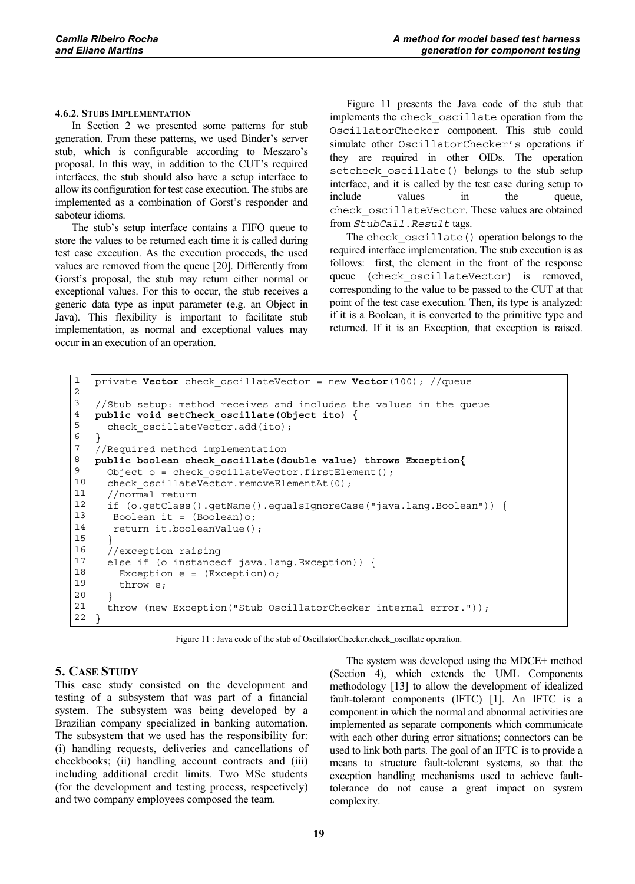#### **4.6.2. STUBS IMPLEMENTATION**

In Section 2 we presented some patterns for stub generation. From these patterns, we used Binder's server stub, which is configurable according to Meszaro's proposal. In this way, in addition to the CUT's required interfaces, the stub should also have a setup interface to allow its configuration for test case execution. The stubs are implemented as a combination of Gorst's responder and saboteur idioms.

The stub's setup interface contains a FIFO queue to store the values to be returned each time it is called during test case execution. As the execution proceeds, the used values are removed from the queue [20]. Differently from Gorst's proposal, the stub may return either normal or exceptional values. For this to occur, the stub receives a generic data type as input parameter (e.g. an Object in Java). This flexibility is important to facilitate stub implementation, as normal and exceptional values may occur in an execution of an operation.

Figure 11 presents the Java code of the stub that implements the check\_oscillate operation from the OscillatorChecker component. This stub could simulate other OscillatorChecker's operations if they are required in other OIDs. The operation setcheck oscillate() belongs to the stub setup interface, and it is called by the test case during setup to include values in the queue, check\_oscillateVector. These values are obtained from *StubCall.Result* tags.

The check\_oscillate() operation belongs to the required interface implementation. The stub execution is as follows: first, the element in the front of the response queue (check\_oscillateVector) is removed, corresponding to the value to be passed to the CUT at that point of the test case execution. Then, its type is analyzed: if it is a Boolean, it is converted to the primitive type and returned. If it is an Exception, that exception is raised.

```
1
2
3
4
5
6
7
8
9
10
11
12
13
14
15
16
17
18
19
20
21
22
   private Vector check_oscillateVector = new Vector(100); //queue 
   //Stub setup: method receives and includes the values in the queue 
   public void setCheck_oscillate(Object ito) { 
       check_oscillateVector.add(ito); 
   }
   //Required method implementation 
   public boolean check_oscillate(double value) throws Exception{ 
     Object o = check oscillateVector.firstElement();
      check oscillateVector.removeElementAt(0);
       //normal return 
       if (o.getClass().getName().equalsIgnoreCase("java.lang.Boolean")) { 
      Boolean it = (Boolean)o;
       return it.booleanValue(); 
       } 
       //exception raising 
      else if (o instanceof java.lang.Exception)) { 
        Exception e = (Exception)o;
         throw e; 
     } 
       throw (new Exception("Stub OscillatorChecker internal error.")); 
   }
```
Figure 11 : Java code of the stub of OscillatorChecker.check\_oscillate operation.

## **5. CASE STUDY**

This case study consisted on the development and testing of a subsystem that was part of a financial system. The subsystem was being developed by a Brazilian company specialized in banking automation. The subsystem that we used has the responsibility for: (i) handling requests, deliveries and cancellations of checkbooks; (ii) handling account contracts and (iii) including additional credit limits. Two MSc students (for the development and testing process, respectively) and two company employees composed the team.

The system was developed using the MDCE+ method (Section 4), which extends the UML Components methodology [13] to allow the development of idealized fault-tolerant components (IFTC) [1]. An IFTC is a component in which the normal and abnormal activities are implemented as separate components which communicate with each other during error situations; connectors can be used to link both parts. The goal of an IFTC is to provide a means to structure fault-tolerant systems, so that the exception handling mechanisms used to achieve faulttolerance do not cause a great impact on system complexity.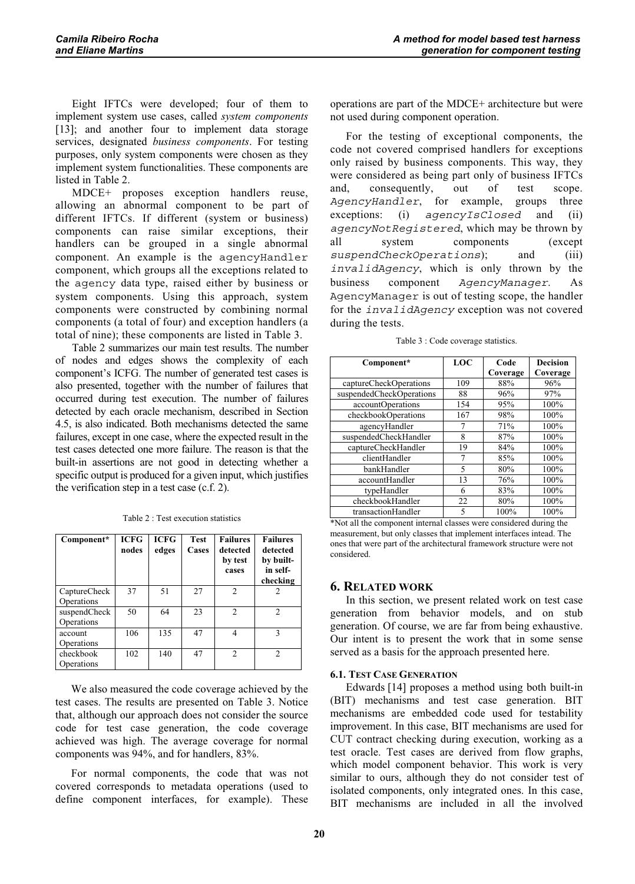Eight IFTCs were developed; four of them to implement system use cases, called *system components* [13]; and another four to implement data storage services, designated *business components*. For testing purposes, only system components were chosen as they implement system functionalities. These components are listed in Table 2.

MDCE+ proposes exception handlers reuse, allowing an abnormal component to be part of different IFTCs. If different (system or business) components can raise similar exceptions, their handlers can be grouped in a single abnormal component. An example is the agencyHandler component, which groups all the exceptions related to the agency data type, raised either by business or system components. Using this approach, system components were constructed by combining normal components (a total of four) and exception handlers (a total of nine); these components are listed in Table 3.

Table 2 summarizes our main test results. The number of nodes and edges shows the complexity of each component's ICFG. The number of generated test cases is also presented, together with the number of failures that occurred during test execution. The number of failures detected by each oracle mechanism, described in Section 4.5, is also indicated. Both mechanisms detected the same failures, except in one case, where the expected result in the test cases detected one more failure. The reason is that the built-in assertions are not good in detecting whether a specific output is produced for a given input, which justifies the verification step in a test case (c.f. 2).

| Component*                 | <b>ICFG</b><br>nodes | <b>ICFG</b><br>edges | <b>Test</b><br>Cases | <b>Failures</b><br>detected<br>by test<br>cases | <b>Failures</b><br>detected<br>by built-<br>in self-<br>checking |
|----------------------------|----------------------|----------------------|----------------------|-------------------------------------------------|------------------------------------------------------------------|
| CaptureCheck<br>Operations | 37                   | 51                   | 27                   | $\mathfrak{D}$                                  |                                                                  |
| suspendCheck<br>Operations | 50                   | 64                   | 23                   | 2                                               | $\mathfrak{D}$                                                   |
| account<br>Operations      | 106                  | 135                  | 47                   | 4                                               | 3                                                                |
| checkbook<br>Operations    | 102                  | 140                  | 47                   | $\mathcal{D}$                                   | $\mathfrak{D}$                                                   |

Table 2 : Test execution statistics

We also measured the code coverage achieved by the test cases. The results are presented on Table 3. Notice that, although our approach does not consider the source code for test case generation, the code coverage achieved was high. The average coverage for normal components was 94%, and for handlers, 83%.

For normal components, the code that was not covered corresponds to metadata operations (used to define component interfaces, for example). These operations are part of the MDCE+ architecture but were not used during component operation.

For the testing of exceptional components, the code not covered comprised handlers for exceptions only raised by business components. This way, they were considered as being part only of business IFTCs and, consequently, out of test scope. *AgencyHandler*, for example, groups three exceptions: (i) *agencyIsClosed* and (ii) *agencyNotRegistered*, which may be thrown by all system components (except *suspendCheckOperations*); and (iii) *invalidAgency*, which is only thrown by the business component *AgencyManager*. As AgencyManager is out of testing scope, the handler for the *invalidAgency* exception was not covered during the tests.

| Component*               | LOC | Code     | <b>Decision</b> |
|--------------------------|-----|----------|-----------------|
|                          |     | Coverage | Coverage        |
| captureCheckOperations   | 109 | 88%      | 96%             |
| suspendedCheckOperations | 88  | 96%      | 97%             |
| accountOperations        | 154 | 95%      | 100%            |
| checkbookOperations      | 167 | 98%      | 100%            |
| agencyHandler            |     | 71%      | 100%            |
| suspendedCheckHandler    | 8   | 87%      | 100%            |
| captureCheckHandler      | 19  | 84%      | 100%            |
| clientHandler            | 7   | 85%      | $100\%$         |
| bankHandler              | 5   | 80%      | 100%            |
| accountHandler           | 13  | 76%      | 100%            |
| typeHandler              | 6   | 83%      | 100%            |
| checkbookHandler         | 22  | 80%      | 100%            |
| transactionHandler       | 5   | 100%     | 100%            |

Table 3 : Code coverage statistics.

\*Not all the component internal classes were considered during the measurement, but only classes that implement interfaces intead. The ones that were part of the architectural framework structure were not considered.

## **6. RELATED WORK**

In this section, we present related work on test case generation from behavior models, and on stub generation. Of course, we are far from being exhaustive. Our intent is to present the work that in some sense served as a basis for the approach presented here.

#### **6.1. TEST CASE GENERATION**

Edwards [14] proposes a method using both built-in (BIT) mechanisms and test case generation. BIT mechanisms are embedded code used for testability improvement. In this case, BIT mechanisms are used for CUT contract checking during execution, working as a test oracle. Test cases are derived from flow graphs, which model component behavior. This work is very similar to ours, although they do not consider test of isolated components, only integrated ones. In this case, BIT mechanisms are included in all the involved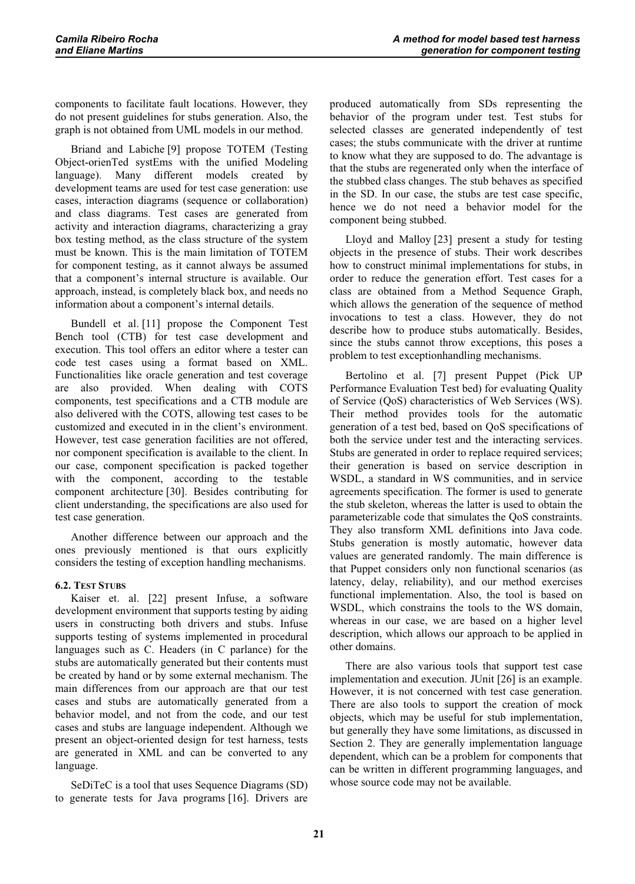components to facilitate fault locations. However, they do not present guidelines for stubs generation. Also, the graph is not obtained from UML models in our method.

Briand and Labiche [9] propose TOTEM (Testing Object-orienTed systEms with the unified Modeling language). Many different models created by development teams are used for test case generation: use cases, interaction diagrams (sequence or collaboration) and class diagrams. Test cases are generated from activity and interaction diagrams, characterizing a gray box testing method, as the class structure of the system must be known. This is the main limitation of TOTEM for component testing, as it cannot always be assumed that a component's internal structure is available. Our approach, instead, is completely black box, and needs no information about a component's internal details.

Bundell et al. [11] propose the Component Test Bench tool (CTB) for test case development and execution. This tool offers an editor where a tester can code test cases using a format based on XML. Functionalities like oracle generation and test coverage are also provided. When dealing with COTS components, test specifications and a CTB module are also delivered with the COTS, allowing test cases to be customized and executed in in the client's environment. However, test case generation facilities are not offered, nor component specification is available to the client. In our case, component specification is packed together with the component, according to the testable component architecture [30]. Besides contributing for client understanding, the specifications are also used for test case generation.

Another difference between our approach and the ones previously mentioned is that ours explicitly considers the testing of exception handling mechanisms.

## **6.2. TEST STUBS**

Kaiser et. al. [22] present Infuse, a software development environment that supports testing by aiding users in constructing both drivers and stubs. Infuse supports testing of systems implemented in procedural languages such as C. Headers (in C parlance) for the stubs are automatically generated but their contents must be created by hand or by some external mechanism. The main differences from our approach are that our test cases and stubs are automatically generated from a behavior model, and not from the code, and our test cases and stubs are language independent. Although we present an object-oriented design for test harness, tests are generated in XML and can be converted to any language.

SeDiTeC is a tool that uses Sequence Diagrams (SD) to generate tests for Java programs [16]. Drivers are produced automatically from SDs representing the behavior of the program under test. Test stubs for selected classes are generated independently of test cases; the stubs communicate with the driver at runtime to know what they are supposed to do. The advantage is that the stubs are regenerated only when the interface of the stubbed class changes. The stub behaves as specified in the SD. In our case, the stubs are test case specific, hence we do not need a behavior model for the component being stubbed.

Lloyd and Malloy [23] present a study for testing objects in the presence of stubs. Their work describes how to construct minimal implementations for stubs, in order to reduce the generation effort. Test cases for a class are obtained from a Method Sequence Graph, which allows the generation of the sequence of method invocations to test a class. However, they do not describe how to produce stubs automatically. Besides, since the stubs cannot throw exceptions, this poses a problem to test exceptionhandling mechanisms.

Bertolino et al. [7] present Puppet (Pick UP Performance Evaluation Test bed) for evaluating Quality of Service (QoS) characteristics of Web Services (WS). Their method provides tools for the automatic generation of a test bed, based on QoS specifications of both the service under test and the interacting services. Stubs are generated in order to replace required services; their generation is based on service description in WSDL, a standard in WS communities, and in service agreements specification. The former is used to generate the stub skeleton, whereas the latter is used to obtain the parameterizable code that simulates the QoS constraints. They also transform XML definitions into Java code. Stubs generation is mostly automatic, however data values are generated randomly. The main difference is that Puppet considers only non functional scenarios (as latency, delay, reliability), and our method exercises functional implementation. Also, the tool is based on WSDL, which constrains the tools to the WS domain, whereas in our case, we are based on a higher level description, which allows our approach to be applied in other domains.

There are also various tools that support test case implementation and execution. JUnit [26] is an example. However, it is not concerned with test case generation. There are also tools to support the creation of mock objects, which may be useful for stub implementation, but generally they have some limitations, as discussed in Section 2. They are generally implementation language dependent, which can be a problem for components that can be written in different programming languages, and whose source code may not be available.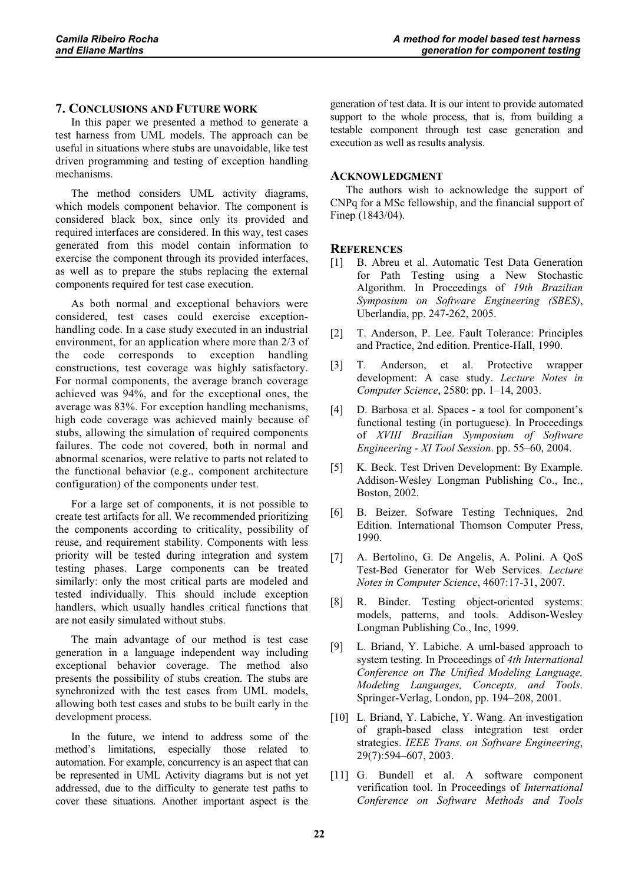## **7. CONCLUSIONS AND FUTURE WORK**

In this paper we presented a method to generate a test harness from UML models. The approach can be useful in situations where stubs are unavoidable, like test driven programming and testing of exception handling mechanisms.

The method considers UML activity diagrams, which models component behavior. The component is considered black box, since only its provided and required interfaces are considered. In this way, test cases generated from this model contain information to exercise the component through its provided interfaces, as well as to prepare the stubs replacing the external components required for test case execution.

As both normal and exceptional behaviors were considered, test cases could exercise exceptionhandling code. In a case study executed in an industrial environment, for an application where more than 2/3 of the code corresponds to exception handling constructions, test coverage was highly satisfactory. For normal components, the average branch coverage achieved was 94%, and for the exceptional ones, the average was 83%. For exception handling mechanisms, high code coverage was achieved mainly because of stubs, allowing the simulation of required components failures. The code not covered, both in normal and abnormal scenarios, were relative to parts not related to the functional behavior (e.g., component architecture configuration) of the components under test.

For a large set of components, it is not possible to create test artifacts for all. We recommended prioritizing the components according to criticality, possibility of reuse, and requirement stability. Components with less priority will be tested during integration and system testing phases. Large components can be treated similarly: only the most critical parts are modeled and tested individually. This should include exception handlers, which usually handles critical functions that are not easily simulated without stubs.

The main advantage of our method is test case generation in a language independent way including exceptional behavior coverage. The method also presents the possibility of stubs creation. The stubs are synchronized with the test cases from UML models, allowing both test cases and stubs to be built early in the development process.

In the future, we intend to address some of the method's limitations, especially those related to automation. For example, concurrency is an aspect that can be represented in UML Activity diagrams but is not yet addressed, due to the difficulty to generate test paths to cover these situations. Another important aspect is the generation of test data. It is our intent to provide automated support to the whole process, that is, from building a testable component through test case generation and execution as well as results analysis.

### **ACKNOWLEDGMENT**

The authors wish to acknowledge the support of CNPq for a MSc fellowship, and the financial support of Finep (1843/04).

## **REFERENCES**

- [1] B. Abreu et al. Automatic Test Data Generation for Path Testing using a New Stochastic Algorithm. In Proceedings of *19th Brazilian Symposium on Software Engineering (SBES)*, Uberlandia, pp. 247-262, 2005.
- [2] T. Anderson, P. Lee. Fault Tolerance: Principles and Practice, 2nd edition. Prentice-Hall, 1990.
- [3] T. Anderson, et al. Protective wrapper development: A case study. *Lecture Notes in Computer Science*, 2580: pp. 1–14, 2003.
- [4] D. Barbosa et al. Spaces a tool for component's functional testing (in portuguese). In Proceedings of *XVIII Brazilian Symposium of Software Engineering - XI Tool Session*. pp. 55–60, 2004.
- [5] K. Beck. Test Driven Development: By Example. Addison-Wesley Longman Publishing Co., Inc., Boston, 2002.
- [6] B. Beizer. Sofware Testing Techniques, 2nd Edition. International Thomson Computer Press, 1990.
- [7] A. Bertolino, G. De Angelis, A. Polini. A QoS Test-Bed Generator for Web Services. *Lecture Notes in Computer Science*, 4607:17-31, 2007.
- [8] R. Binder. Testing object-oriented systems: models, patterns, and tools. Addison-Wesley Longman Publishing Co., Inc, 1999.
- [9] L. Briand, Y. Labiche. A uml-based approach to system testing. In Proceedings of *4th International Conference on The Unified Modeling Language, Modeling Languages, Concepts, and Tools*. Springer-Verlag, London, pp. 194–208, 2001.
- [10] L. Briand, Y. Labiche, Y. Wang. An investigation of graph-based class integration test order strategies. *IEEE Trans. on Software Engineering*, 29(7):594–607, 2003.
- [11] G. Bundell et al. A software component verification tool. In Proceedings of *International Conference on Software Methods and Tools*